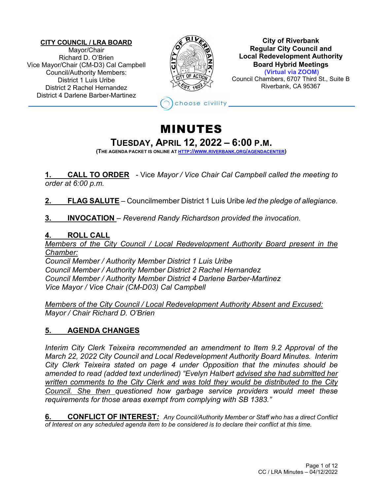#### **CITY COUNCIL / LRA BOARD**

Mayor/Chair Richard D. O'Brien Vice Mayor/Chair (CM-D3) Cal Campbell Council/Authority Members: District 1 Luis Uribe District 2 Rachel Hernandez District 4 Darlene Barber-Martinez



**City of Riverbank Regular City Council and Local Redevelopment Authority Board Hybrid Meetings (Virtual via ZOOM)** Council Chambers, 6707 Third St., Suite B

Riverbank, CA 95367

hoose civility

# MINUTES

# **TUESDAY, APRIL 12, <sup>2022</sup> – [6:00 P.M.](http://www.riverbank.org/agendacenter) (THE AGENDA PACKET IS ONLINE AT HTTP://WWW.RIVERBANK.ORG/AGENDACENTER)**

**1. CALL TO ORDER** - Vice *Mayor / Vice Chair Cal Campbell called the meeting to order at 6:00 p.m.*

**2. FLAG SALUTE** – Councilmember District 1 Luis Uribe *led the pledge of allegiance.*

**3. INVOCATION** – *Reverend Randy Richardson provided the invocation.*

#### **4. ROLL CALL**

*Members of the City Council / Local Redevelopment Authority Board present in the Chamber:*

*Council Member / Authority Member District 1 Luis Uribe Council Member / Authority Member District 2 Rachel Hernandez Council Member / Authority Member District 4 Darlene Barber-Martinez Vice Mayor / Vice Chair (CM-D03) Cal Campbell* 

*Members of the City Council / Local Redevelopment Authority Absent and Excused: Mayor / Chair Richard D. O'Brien*

# **5. AGENDA CHANGES**

*Interim City Clerk Teixeira recommended an amendment to Item 9.2 Approval of the March 22, 2022 City Council and Local Redevelopment Authority Board Minutes. Interim City Clerk Teixeira stated on page 4 under Opposition that the minutes should be amended to read (added text underlined) "Evelyn Halbert advised she had submitted her written comments to the City Clerk and was told they would be distributed to the City Council. She then questioned how garbage service providers would meet these requirements for those areas exempt from complying with SB 1383."*

**6. CONFLICT OF INTEREST***: Any Council/Authority Member or Staff who has a direct Conflict of Interest on any scheduled agenda item to be considered is to declare their conflict at this time.*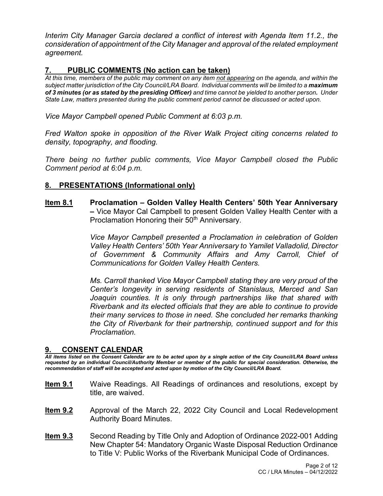*Interim City Manager Garcia declared a conflict of interest with Agenda Item 11.2., the consideration of appointment of the City Manager and approval of the related employment agreement.*

### **7. PUBLIC COMMENTS (No action can be taken)**

*At this time, members of the public may comment on any item not appearing on the agenda, and within the subject matter jurisdiction of the City Council/LRA Board. Individual comments will be limited to a maximum of 3 minutes (or as stated by the presiding Officer) and time cannot be yielded to another person. Under State Law, matters presented during the public comment period cannot be discussed or acted upon.* 

*Vice Mayor Campbell opened Public Comment at 6:03 p.m.*

*Fred Walton spoke in opposition of the River Walk Project citing concerns related to density, topography, and flooding.*

*There being no further public comments, Vice Mayor Campbell closed the Public Comment period at 6:04 p.m.*

#### **8. PRESENTATIONS (Informational only)**

**Item 8.1 Proclamation – Golden Valley Health Centers' 50th Year Anniversary –** Vice Mayor Cal Campbell to present Golden Valley Health Center with a Proclamation Honoring their 50<sup>th</sup> Anniversary.

> *Vice Mayor Campbell presented a Proclamation in celebration of Golden Valley Health Centers' 50th Year Anniversary to Yamilet Valladolid, Director of Government & Community Affairs and Amy Carroll, Chief of Communications for Golden Valley Health Centers.*

> *Ms. Carroll thanked Vice Mayor Campbell stating they are very proud of the Center's longevity in serving residents of Stanislaus, Merced and San Joaquin counties. It is only through partnerships like that shared with Riverbank and its elected officials that they are able to continue to provide their many services to those in need. She concluded her remarks thanking the City of Riverbank for their partnership, continued support and for this Proclamation.*

#### **9. CONSENT CALENDAR**

*All items listed on the Consent Calendar are to be acted upon by a single action of the City Council/LRA Board unless requested by an individual Council/Authority Member or member of the public for special consideration. Otherwise, the recommendation of staff will be accepted and acted upon by motion of the City Council/LRA Board.* 

- **Item 9.1** Waive Readings. All Readings of ordinances and resolutions, except by title, are waived.
- **Item 9.2** Approval of the March 22, 2022 City Council and Local Redevelopment Authority Board Minutes.
- **Item 9.3** Second Reading by Title Only and Adoption of Ordinance 2022-001 Adding New Chapter 54: Mandatory Organic Waste Disposal Reduction Ordinance to Title V: Public Works of the Riverbank Municipal Code of Ordinances.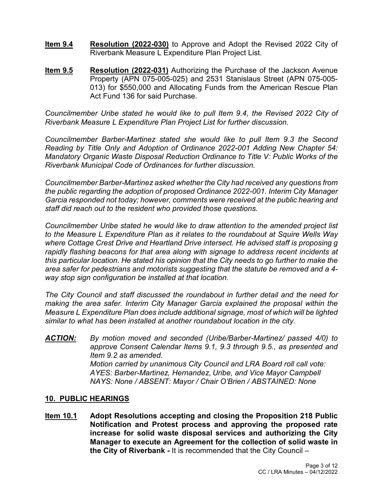- **Item 9.4 Resolution (2022-030)** to Approve and Adopt the Revised 2022 City of Riverbank Measure L Expenditure Plan Project List.
- **Item 9.5 Resolution (2022-031)** Authorizing the Purchase of the Jackson Avenue Property (APN 075-005-025) and 2531 Stanislaus Street (APN 075-005- 013) for \$550,000 and Allocating Funds from the American Rescue Plan Act Fund 136 for said Purchase.

*Councilmember Uribe stated he would like to pull Item 9.4, the Revised 2022 City of Riverbank Measure L Expenditure Plan Project List for further discussion.*

*Councilmember Barber-Martinez stated she would like to pull Item 9.3 the Second Reading by Title Only and Adoption of Ordinance 2022-001 Adding New Chapter 54: Mandatory Organic Waste Disposal Reduction Ordinance to Title V: Public Works of the Riverbank Municipal Code of Ordinances for further discussion.*

*Councilmember Barber-Martinez asked whether the City had received any questions from the public regarding the adoption of proposed Ordinance 2022-001. Interim City Manager Garcia responded not today; however, comments were received at the public hearing and staff did reach out to the resident who provided those questions.*

*Councilmember Uribe stated he would like to draw attention to the amended project list to the Measure L Expenditure Plan as it relates to the roundabout at Squire Wells Way where Cottage Crest Drive and Heartland Drive intersect. He advised staff is proposing g rapidly flashing beacons for that area along with signage to address recent incidents at this particular location. He stated his opinion that the City needs to go further to make the area safer for pedestrians and motorists suggesting that the statute be removed and a 4 way stop sign configuration be installed at that location.*

*The City Council and staff discussed the roundabout in further detail and the need for making the area safer. Interim City Manager Garcia explained the proposal within the Measure L Expenditure Plan does include additional signage, most of which will be lighted similar to what has been installed at another roundabout location in the city.*

*ACTION: By motion moved and seconded (Uribe/Barber-Martinez/ passed 4/0) to approve Consent Calendar Items 9.1, 9.3 through 9.5., as presented and Item 9.2 as amended. Motion carried by unanimous City Council and LRA Board roll call vote: AYES: Barber-Martinez, Hernandez*, *Uribe, and Vice Mayor Campbell NAYS: None / ABSENT: Mayor / Chair O'Brien / ABSTAINED: None* 

#### **10. PUBLIC HEARINGS**

**Item 10.1 Adopt Resolutions accepting and closing the Proposition 218 Public Notification and Protest process and approving the proposed rate increase for solid waste disposal services and authorizing the City Manager to execute an Agreement for the collection of solid waste in the City of Riverbank -** It is recommended that the City Council –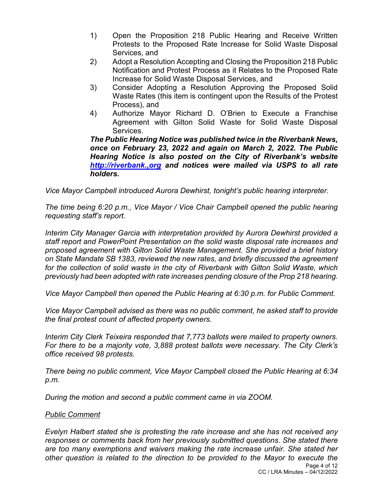- 1) Open the Proposition 218 Public Hearing and Receive Written Protests to the Proposed Rate Increase for Solid Waste Disposal Services, and
- 2) Adopt a Resolution Accepting and Closing the Proposition 218 Public Notification and Protest Process as it Relates to the Proposed Rate Increase for Solid Waste Disposal Services, and
- 3) Consider Adopting a Resolution Approving the Proposed Solid Waste Rates (this item is contingent upon the Results of the Protest Process), and
- 4) Authorize Mayor Richard D. O'Brien to Execute a Franchise Agreement with Gilton Solid Waste for Solid Waste Disposal Services.

*The Public Hearing Notice was published twice in the Riverbank News, once on February 23, 2022 and again on March 2, 2022. The Public Hearing Notice is also posted on the City of Riverbank's website [http://riverbank.,org](http://riverbank.,org/) and notices were mailed via USPS to all rate holders.*

*Vice Mayor Campbell introduced Aurora Dewhirst, tonight's public hearing interpreter.* 

*The time being 6:20 p.m., Vice Mayor / Vice Chair Campbell opened the public hearing requesting staff's report.*

*Interim City Manager Garcia with interpretation provided by Aurora Dewhirst provided a staff report and PowerPoint Presentation on the solid waste disposal rate increases and proposed agreement with Gilton Solid Waste Management. She provided a brief history on State Mandate SB 1383, reviewed the new rates, and briefly discussed the agreement for the collection of solid waste in the city of Riverbank with Gilton Solid Waste, which previously had been adopted with rate increases pending closure of the Prop 218 hearing.*

*Vice Mayor Campbell then opened the Public Hearing at 6:30 p.m. for Public Comment.*

*Vice Mayor Campbell advised as there was no public comment, he asked staff to provide the final protest count of affected property owners.* 

*Interim City Clerk Teixeira responded that 7,773 ballots were mailed to property owners. For there to be a majority vote, 3,888 protest ballots were necessary. The City Clerk's office received 98 protests.*

*There being no public comment, Vice Mayor Campbell closed the Public Hearing at 6:34 p.m.*

*During the motion and second a public comment came in via ZOOM.*

#### *Public Comment*

*Evelyn Halbert stated she is protesting the rate increase and she has not received any responses or comments back from her previously submitted questions. She stated there are too many exemptions and waivers making the rate increase unfair. She stated her other question is related to the direction to be provided to the Mayor to execute the*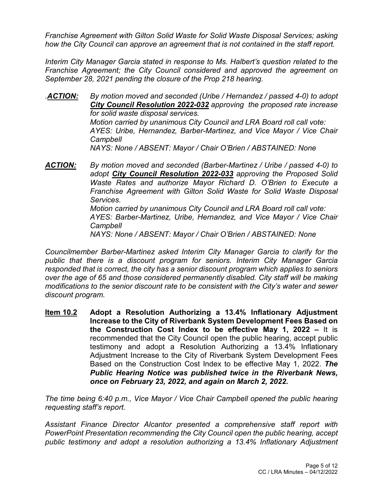*Franchise Agreement with Gilton Solid Waste for Solid Waste Disposal Services; asking how the City Council can approve an agreement that is not contained in the staff report.*

*Interim City Manager Garcia stated in response to Ms. Halbert's question related to the Franchise Agreement; the City Council considered and approved the agreement on September 28, 2021 pending the closure of the Prop 218 hearing.* 

*.ACTION: By motion moved and seconded (Uribe / Hernandez / passed 4-0) to adopt City Council Resolution 2022-032 approving the proposed rate increase for solid waste disposal services. Motion carried by unanimous City Council and LRA Board roll call vote: AYES: Uribe, Hernandez, Barber-Martinez, and Vice Mayor / Vice Chair Campbell NAYS: None / ABSENT: Mayor / Chair O'Brien / ABSTAINED: None* 

*ACTION: By motion moved and seconded (Barber-Martinez / Uribe / passed 4-0) to adopt City Council Resolution 2022-033 approving the Proposed Solid Waste Rates and authorize Mayor Richard D. O'Brien to Execute a Franchise Agreement with Gilton Solid Waste for Solid Waste Disposal Services. Motion carried by unanimous City Council and LRA Board roll call vote: AYES: Barber-Martinez, Uribe, Hernandez, and Vice Mayor / Vice Chair Campbell*

*NAYS: None / ABSENT: Mayor / Chair O'Brien / ABSTAINED: None* 

*Councilmember Barber-Martinez asked Interim City Manager Garcia to clarify for the public that there is a discount program for seniors. Interim City Manager Garcia responded that is correct, the city has a senior discount program which applies to seniors over the age of 65 and those considered permanently disabled. City staff will be making modifications to the senior discount rate to be consistent with the City's water and sewer discount program.* 

**Item 10.2 Adopt a Resolution Authorizing a 13.4% Inflationary Adjustment Increase to the City of Riverbank System Development Fees Based on the Construction Cost Index to be effective May 1, 2022 –** It is recommended that the City Council open the public hearing, accept public testimony and adopt a Resolution Authorizing a 13.4% Inflationary Adjustment Increase to the City of Riverbank System Development Fees Based on the Construction Cost Index to be effective May 1, 2022. *The Public Hearing Notice was published twice in the Riverbank News, once on February 23, 2022, and again on March 2, 2022.*

*The time being 6:40 p.m., Vice Mayor / Vice Chair Campbell opened the public hearing requesting staff's report.*

*Assistant Finance Director Alcantor presented a comprehensive staff report with PowerPoint Presentation recommending the City Council open the public hearing, accept public testimony and adopt a resolution authorizing a 13.4% Inflationary Adjustment*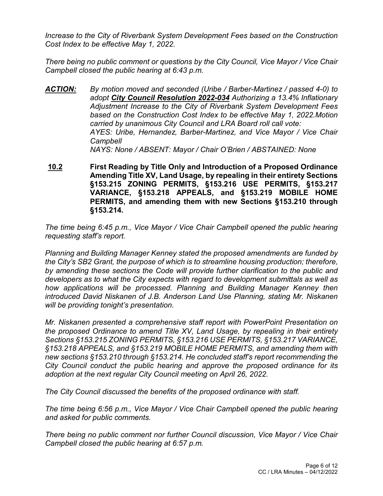*Increase to the City of Riverbank System Development Fees based on the Construction Cost Index to be effective May 1, 2022.*

*There being no public comment or questions by the City Council, Vice Mayor / Vice Chair Campbell closed the public hearing at 6:43 p.m.*

- *ACTION: By motion moved and seconded (Uribe / Barber-Martinez / passed 4-0) to adopt City Council Resolution 2022-034 Authorizing a 13.4% Inflationary Adjustment Increase to the City of Riverbank System Development Fees based on the Construction Cost Index to be effective May 1, 2022.Motion carried by unanimous City Council and LRA Board roll call vote: AYES: Uribe, Hernandez, Barber-Martinez, and Vice Mayor / Vice Chair Campbell NAYS: None / ABSENT: Mayor / Chair O'Brien / ABSTAINED: None*
- **10.2 First Reading by Title Only and Introduction of a Proposed Ordinance Amending Title XV, Land Usage, by repealing in their entirety Sections §153.215 ZONING PERMITS, §153.216 USE PERMITS, §153.217 VARIANCE, §153.218 APPEALS, and §153.219 MOBILE HOME PERMITS, and amending them with new Sections §153.210 through §153.214.**

*The time being 6:45 p.m., Vice Mayor / Vice Chair Campbell opened the public hearing requesting staff's report.*

*Planning and Building Manager Kenney stated the proposed amendments are funded by the City's SB2 Grant, the purpose of which is to streamline housing production; therefore, by amending these sections the Code will provide further clarification to the public and developers as to what the City expects with regard to development submittals as well as how applications will be processed. Planning and Building Manager Kenney then introduced David Niskanen of J.B. Anderson Land Use Planning, stating Mr. Niskanen will be providing tonight's presentation.*

*Mr. Niskanen presented a comprehensive staff report with PowerPoint Presentation on the proposed Ordinance to amend Title XV, Land Usage, by repealing in their entirety Sections §153.215 ZONING PERMITS, §153.216 USE PERMITS, §153.217 VARIANCE, §153.218 APPEALS, and §153.219 MOBILE HOME PERMITS, and amending them with new sections §153.210 through §153.214. He concluded staff's report recommending the City Council conduct the public hearing and approve the proposed ordinance for its adoption at the next regular City Council meeting on April 26, 2022.* 

*The City Council discussed the benefits of the proposed ordinance with staff.*

*The time being 6:56 p.m., Vice Mayor / Vice Chair Campbell opened the public hearing and asked for public comments.* 

*There being no public comment nor further Council discussion, Vice Mayor / Vice Chair Campbell closed the public hearing at 6:57 p.m.*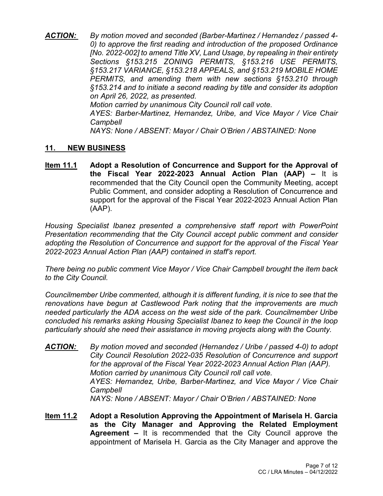*ACTION: By motion moved and seconded (Barber-Martinez / Hernandez / passed 4- 0) to approve the first reading and introduction of the proposed Ordinance [No. 2022-002] to amend Title XV, Land Usage, by repealing in their entirety Sections §153.215 ZONING PERMITS, §153.216 USE PERMITS, §153.217 VARIANCE, §153.218 APPEALS, and §153.219 MOBILE HOME PERMITS, and amending them with new sections §153.210 through §153.214 and to initiate a second reading by title and consider its adoption on April 26, 2022, as presented. Motion carried by unanimous City Council roll call vote.* 

*AYES: Barber-Martinez, Hernandez, Uribe, and Vice Mayor / Vice Chair Campbell*

*NAYS: None / ABSENT: Mayor / Chair O'Brien / ABSTAINED: None*

#### **11. NEW BUSINESS**

**Item 11.1 Adopt a Resolution of Concurrence and Support for the Approval of the Fiscal Year 2022-2023 Annual Action Plan (AAP) –** It is recommended that the City Council open the Community Meeting, accept Public Comment, and consider adopting a Resolution of Concurrence and support for the approval of the Fiscal Year 2022-2023 Annual Action Plan (AAP).

*Housing Specialist Ibanez presented a comprehensive staff report with PowerPoint Presentation recommending that the City Council accept public comment and consider adopting the Resolution of Concurrence and support for the approval of the Fiscal Year 2022-2023 Annual Action Plan (AAP) contained in staff's report.*

*There being no public comment Vice Mayor / Vice Chair Campbell brought the item back to the City Council.*

*Councilmember Uribe commented, although it is different funding, it is nice to see that the renovations have begun at Castlewood Park noting that the improvements are much needed particularly the ADA access on the west side of the park. Councilmember Uribe concluded his remarks asking Housing Specialist Ibanez to keep the Council in the loop particularly should she need their assistance in moving projects along with the County.*

- *ACTION: By motion moved and seconded (Hernandez / Uribe / passed 4-0) to adopt City Council Resolution 2022-035 Resolution of Concurrence and support for the approval of the Fiscal Year 2022-2023 Annual Action Plan (AAP). Motion carried by unanimous City Council roll call vote. AYES: Hernandez, Uribe, Barber-Martinez, and Vice Mayor / Vice Chair Campbell NAYS: None / ABSENT: Mayor / Chair O'Brien / ABSTAINED: None*
- **Item 11.2 Adopt a Resolution Approving the Appointment of Marisela H. Garcia as the City Manager and Approving the Related Employment Agreement –** It is recommended that the City Council approve the appointment of Marisela H. Garcia as the City Manager and approve the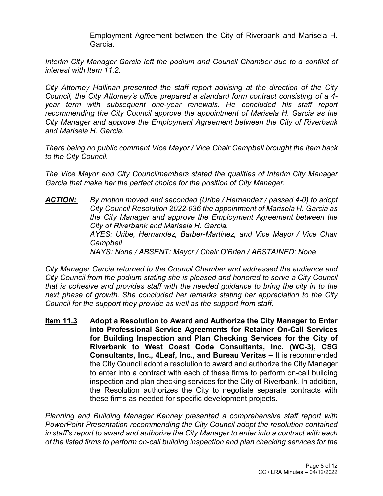Employment Agreement between the City of Riverbank and Marisela H. Garcia.

Interim City Manager Garcia left the podium and Council Chamber due to a conflict of *interest with Item 11.2.*

*City Attorney Hallinan presented the staff report advising at the direction of the City Council, the City Attorney's office prepared a standard form contract consisting of a 4 year term with subsequent one-year renewals. He concluded his staff report recommending the City Council approve the appointment of Marisela H. Garcia as the City Manager and approve the Employment Agreement between the City of Riverbank and Marisela H. Garcia.* 

*There being no public comment Vice Mayor / Vice Chair Campbell brought the item back to the City Council.*

*The Vice Mayor and City Councilmembers stated the qualities of Interim City Manager Garcia that make her the perfect choice for the position of City Manager.*

*ACTION: By motion moved and seconded (Uribe / Hernandez / passed 4-0) to adopt City Council Resolution 2022-036 the appointment of Marisela H. Garcia as the City Manager and approve the Employment Agreement between the City of Riverbank and Marisela H. Garcia. AYES: Uribe, Hernandez, Barber-Martinez, and Vice Mayor / Vice Chair Campbell NAYS: None / ABSENT: Mayor / Chair O'Brien / ABSTAINED: None*

*City Manager Garcia returned to the Council Chamber and addressed the audience and City Council from the podium stating she is pleased and honored to serve a City Council that is cohesive and provides staff with the needed guidance to bring the city in to the next phase of growth. She concluded her remarks stating her appreciation to the City Council for the support they provide as well as the support from staff.* 

**Item 11.3 Adopt a Resolution to Award and Authorize the City Manager to Enter into Professional Service Agreements for Retainer On-Call Services for Building Inspection and Plan Checking Services for the City of Riverbank to West Coast Code Consultants, Inc. (WC-3), CSG Consultants, Inc., 4Leaf, Inc., and Bureau Veritas –** It is recommended the City Council adopt a resolution to award and authorize the City Manager to enter into a contract with each of these firms to perform on-call building inspection and plan checking services for the City of Riverbank. In addition, the Resolution authorizes the City to negotiate separate contracts with these firms as needed for specific development projects.

*Planning and Building Manager Kenney presented a comprehensive staff report with PowerPoint Presentation recommending the City Council adopt the resolution contained in staff's report to award and authorize the City Manager to enter into a contract with each of the listed firms to perform on-call building inspection and plan checking services for the*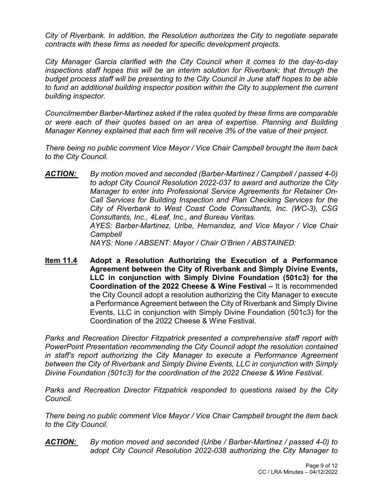*City of Riverbank. In addition, the Resolution authorizes the City to negotiate separate contracts with these firms as needed for specific development projects.*

*City Manager Garcia clarified with the City Council when it comes to the day-to-day inspections staff hopes this will be an interim solution for Riverbank; that through the budget process staff will be presenting to the City Council in June staff hopes to be able to fund an additional building inspector position within the City to supplement the current building inspector.*

*Councilmember Barber-Martinez asked if the rates quoted by these firms are comparable or were each of their quotes based on an area of expertise. Planning and Building Manager Kenney explained that each firm will receive 3% of the value of their project.*

*There being no public comment Vice Mayor / Vice Chair Campbell brought the item back to the City Council.*

- *ACTION: By motion moved and seconded (Barber-Martinez / Campbell / passed 4-0) to adopt City Council Resolution 2022-037 to award and authorize the City Manager to enter into Professional Service Agreements for Retainer On-Call Services for Building Inspection and Plan Checking Services for the City of Riverbank to West Coast Code Consultants, Inc. (WC-3), CSG Consultants, Inc., 4Leaf, Inc., and Bureau Veritas. AYES: Barber-Martinez, Uribe, Hernandez, and Vice Mayor / Vice Chair Campbell NAYS: None / ABSENT: Mayor / Chair O'Brien / ABSTAINED:*
- **Item 11.4 Adopt a Resolution Authorizing the Execution of a Performance Agreement between the City of Riverbank and Simply Divine Events, LLC in conjunction with Simply Divine Foundation (501c3) for the Coordination of the 2022 Cheese & Wine Festival –** It is recommended the City Council adopt a resolution authorizing the City Manager to execute a Performance Agreement between the City of Riverbank and Simply Divine Events, LLC in conjunction with Simply Divine Foundation (501c3) for the Coordination of the 2022 Cheese & Wine Festival.

*Parks and Recreation Director Fitzpatrick presented a comprehensive staff report with PowerPoint Presentation recommending the City Council adopt the resolution contained in staff's report authorizing the City Manager to execute a Performance Agreement between the City of Riverbank and Simply Divine Events, LLC in conjunction with Simply Divine Foundation (501c3) for the coordination of the 2022 Cheese & Wine Festival.*

*Parks and Recreation Director Fitzpatrick responded to questions raised by the City Council.*

*There being no public comment Vice Mayor / Vice Chair Campbell brought the item back to the City Council.*

*ACTION: By motion moved and seconded (Uribe / Barber-Martinez / passed 4-0) to adopt City Council Resolution 2022-038 authorizing the City Manager to*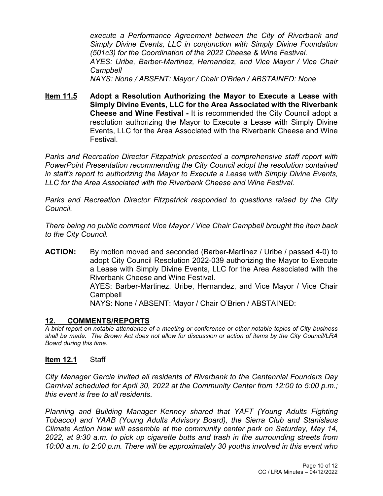*execute a Performance Agreement between the City of Riverbank and Simply Divine Events, LLC in conjunction with Simply Divine Foundation (501c3) for the Coordination of the 2022 Cheese & Wine Festival. AYES: Uribe, Barber-Martinez, Hernandez, and Vice Mayor / Vice Chair Campbell NAYS: None / ABSENT: Mayor / Chair O'Brien / ABSTAINED: None*

**Item 11.5 Adopt a Resolution Authorizing the Mayor to Execute a Lease with Simply Divine Events, LLC for the Area Associated with the Riverbank Cheese and Wine Festival -** It is recommended the City Council adopt a resolution authorizing the Mayor to Execute a Lease with Simply Divine Events, LLC for the Area Associated with the Riverbank Cheese and Wine Festival.

*Parks and Recreation Director Fitzpatrick presented a comprehensive staff report with PowerPoint Presentation recommending the City Council adopt the resolution contained in staff's report to authorizing the Mayor to Execute a Lease with Simply Divine Events, LLC for the Area Associated with the Riverbank Cheese and Wine Festival.*

*Parks and Recreation Director Fitzpatrick responded to questions raised by the City Council.*

*There being no public comment Vice Mayor / Vice Chair Campbell brought the item back to the City Council.*

**ACTION:** By motion moved and seconded (Barber-Martinez / Uribe / passed 4-0) to adopt City Council Resolution 2022-039 authorizing the Mayor to Execute a Lease with Simply Divine Events, LLC for the Area Associated with the Riverbank Cheese and Wine Festival. AYES: Barber-Martinez. Uribe, Hernandez, and Vice Mayor / Vice Chair **Campbell** 

NAYS: None / ABSENT: Mayor / Chair O'Brien / ABSTAINED:

#### **12. COMMENTS/REPORTS**

*A brief report on notable attendance of a meeting or conference or other notable topics of City business shall be made. The Brown Act does not allow for discussion or action of items by the City Council/LRA Board during this time.* 

#### **Item 12.1** Staff

*City Manager Garcia invited all residents of Riverbank to the Centennial Founders Day Carnival scheduled for April 30, 2022 at the Community Center from 12:00 to 5:00 p.m.; this event is free to all residents.* 

*Planning and Building Manager Kenney shared that YAFT (Young Adults Fighting Tobacco) and YAAB (Young Adults Advisory Board), the Sierra Club and Stanislaus Climate Action Now will assemble at the community center park on Saturday, May 14, 2022, at 9:30 a.m. to pick up cigarette butts and trash in the surrounding streets from 10:00 a.m. to 2:00 p.m. There will be approximately 30 youths involved in this event who*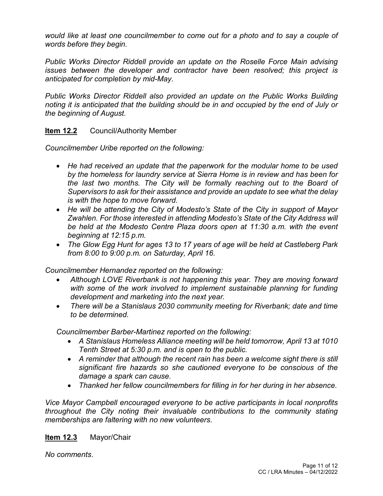*would like at least one councilmember to come out for a photo and to say a couple of words before they begin.*

*Public Works Director Riddell provide an update on the Roselle Force Main advising issues between the developer and contractor have been resolved; this project is anticipated for completion by mid-May.*

*Public Works Director Riddell also provided an update on the Public Works Building noting it is anticipated that the building should be in and occupied by the end of July or the beginning of August.*

# **Item 12.2** Council/Authority Member

*Councilmember Uribe reported on the following:*

- *He had received an update that the paperwork for the modular home to be used by the homeless for laundry service at Sierra Home is in review and has been for the last two months. The City will be formally reaching out to the Board of Supervisors to ask for their assistance and provide an update to see what the delay is with the hope to move forward.*
- *He will be attending the City of Modesto's State of the City in support of Mayor Zwahlen. For those interested in attending Modesto's State of the City Address will be held at the Modesto Centre Plaza doors open at 11:30 a.m. with the event beginning at 12:15 p.m.*
- *The Glow Egg Hunt for ages 13 to 17 years of age will be held at Castleberg Park from 8:00 to 9:00 p.m. on Saturday, April 16.*

*Councilmember Hernandez reported on the following:*

- *Although LOVE Riverbank is not happening this year. They are moving forward*  with some of the work involved to implement sustainable planning for funding *development and marketing into the next year.*
- *There will be a Stanislaus 2030 community meeting for Riverbank; date and time to be determined.*

*Councilmember Barber-Martinez reported on the following:*

- *A Stanislaus Homeless Alliance meeting will be held tomorrow, April 13 at 1010 Tenth Street at 5:30 p.m. and is open to the public.*
- *A reminder that although the recent rain has been a welcome sight there is still significant fire hazards so she cautioned everyone to be conscious of the damage a spark can cause.*
- *Thanked her fellow councilmembers for filling in for her during in her absence.*

*Vice Mayor Campbell encouraged everyone to be active participants in local nonprofits throughout the City noting their invaluable contributions to the community stating memberships are faltering with no new volunteers.*

# **Item 12.3** Mayor/Chair

*No comments*.